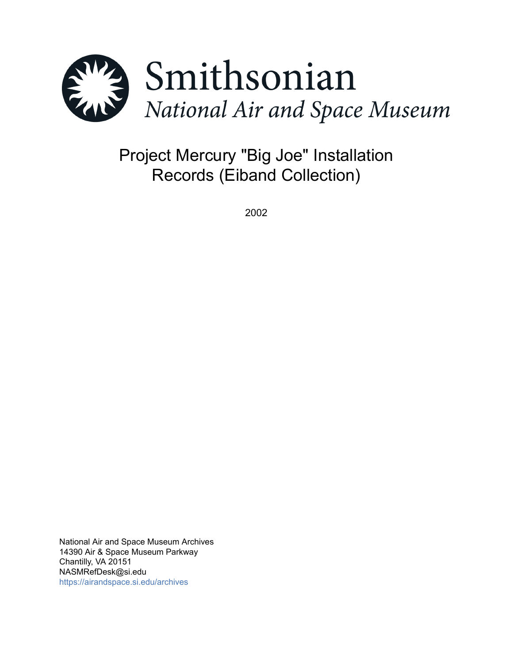

Project Mercury "Big Joe" Installation Records (Eiband Collection)

2002

National Air and Space Museum Archives 14390 Air & Space Museum Parkway Chantilly, VA 20151 NASMRefDesk@si.edu <https://airandspace.si.edu/archives>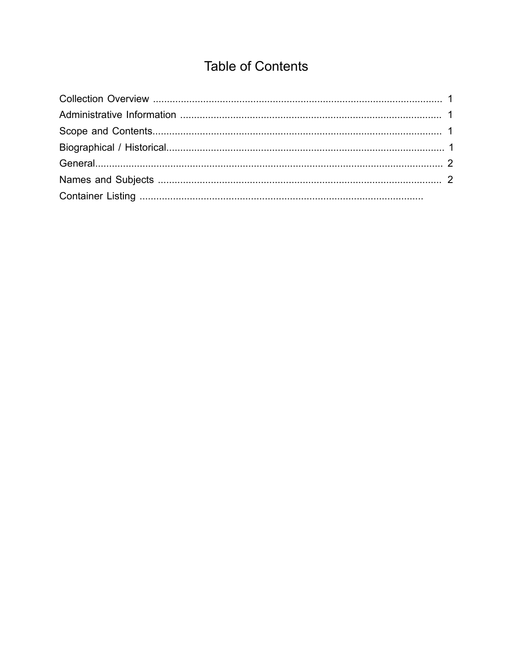# **Table of Contents**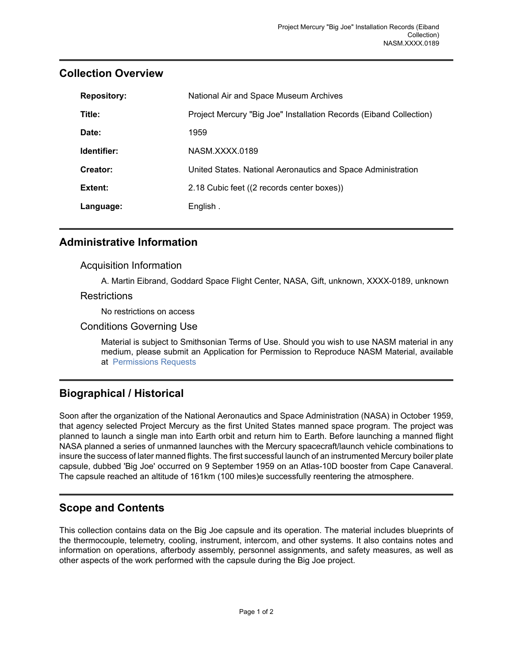| <b>Repository:</b> | National Air and Space Museum Archives                             |
|--------------------|--------------------------------------------------------------------|
| Title:             | Project Mercury "Big Joe" Installation Records (Eiband Collection) |
| Date:              | 1959                                                               |
| Identifier:        | NASM XXXX 0189                                                     |
| Creator:           | United States. National Aeronautics and Space Administration       |
| Extent:            | 2.18 Cubic feet ((2 records center boxes))                         |
| Language:          | English.                                                           |

## <span id="page-2-0"></span>**Collection Overview**

#### <span id="page-2-1"></span>**Administrative Information**

#### Acquisition Information

A. Martin Eibrand, Goddard Space Flight Center, NASA, Gift, unknown, XXXX-0189, unknown

#### Restrictions

No restrictions on access

#### Conditions Governing Use

Material is subject to Smithsonian Terms of Use. Should you wish to use NASM material in any medium, please submit an Application for Permission to Reproduce NASM Material, available at [Permissions Requests](http://airandspace.si.edu/permissions)

## <span id="page-2-3"></span>**Biographical / Historical**

Soon after the organization of the National Aeronautics and Space Administration (NASA) in October 1959, that agency selected Project Mercury as the first United States manned space program. The project was planned to launch a single man into Earth orbit and return him to Earth. Before launching a manned flight NASA planned a series of unmanned launches with the Mercury spacecraft/launch vehicle combinations to insure the success of later manned flights. The first successful launch of an instrumented Mercury boiler plate capsule, dubbed 'Big Joe' occurred on 9 September 1959 on an Atlas-10D booster from Cape Canaveral. The capsule reached an altitude of 161km (100 miles)e successfully reentering the atmosphere.

## <span id="page-2-2"></span>**Scope and Contents**

This collection contains data on the Big Joe capsule and its operation. The material includes blueprints of the thermocouple, telemetry, cooling, instrument, intercom, and other systems. It also contains notes and information on operations, afterbody assembly, personnel assignments, and safety measures, as well as other aspects of the work performed with the capsule during the Big Joe project.